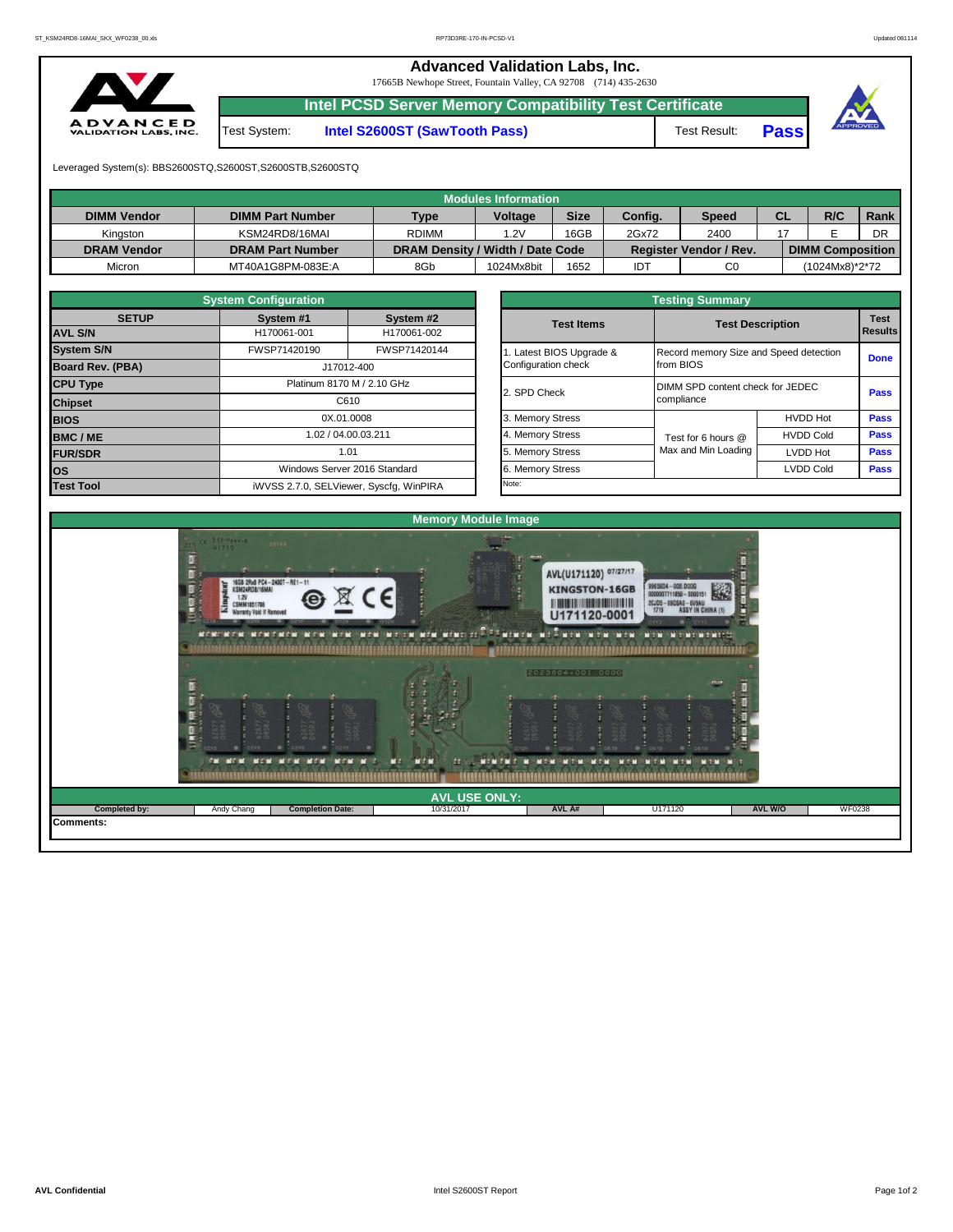**Advanced Validation Labs, Inc.**  17665B Newhope Street, Fountain Valley, CA 92708 (714) 435-2630

A D V A N C E D<br>VALIDATION LABS, INC.

**Intel PCSD Server Memory Compatibility Test Certificate**

Test System: **Intel S2600ST (SawTooth Pass)** Test Result: **Pass**





Leveraged System(s): BBS2600STQ,S2600ST,S2600STB,S2600STQ

|                    |                         |                                  | <b>Modules Information</b> |             |         |                               |           |                         |      |
|--------------------|-------------------------|----------------------------------|----------------------------|-------------|---------|-------------------------------|-----------|-------------------------|------|
| <b>DIMM Vendor</b> | <b>DIMM Part Number</b> | <b>Type</b>                      | <b>Voltage</b>             | <b>Size</b> | Config. | <b>Speed</b>                  | <b>CL</b> | R/C                     | Rank |
| Kinaston           | KSM24RD8/16MAI          | <b>RDIMM</b>                     | .2V                        | 16GB        | 2Gx72   | 2400                          |           |                         | DR   |
| <b>DRAM Vendor</b> | <b>DRAM Part Number</b> | DRAM Density / Width / Date Code |                            |             |         | <b>Register Vendor / Rev.</b> |           | <b>DIMM Composition</b> |      |
| Micron             | MT40A1G8PM-083E:A       | 8Gb                              | 1024Mx8bit                 | 1652        | IDT     | C <sub>0</sub>                |           | (1024Mx8)*2*72          |      |

|                         | <b>System Configuration</b> |                                         |
|-------------------------|-----------------------------|-----------------------------------------|
| <b>SETUP</b>            | System #1                   | System #2                               |
| <b>AVL S/N</b>          | H170061-001                 | H170061-002                             |
| <b>System S/N</b>       | FWSP71420190                | FWSP71420144                            |
| <b>Board Rev. (PBA)</b> |                             | J17012-400                              |
| <b>CPU Type</b>         |                             | Platinum 8170 M / 2.10 GHz              |
| <b>Chipset</b>          |                             | C610                                    |
| <b>BIOS</b>             | 0X.01.0008                  |                                         |
| <b>BMC/ME</b>           |                             | 1.02 / 04.00.03.211                     |
| <b>FUR/SDR</b>          |                             | 1.01                                    |
| <b>OS</b>               |                             | Windows Server 2016 Standard            |
| <b>Test Tool</b>        |                             | iWVSS 2.7.0, SELViewer, Syscfg, WinPIRA |

|                                                 | <b>Testing Summary</b>                              |                  |                               |
|-------------------------------------------------|-----------------------------------------------------|------------------|-------------------------------|
| <b>Test Items</b>                               | <b>Test Description</b>                             |                  | <b>Test</b><br><b>Results</b> |
| 1. Latest BIOS Upgrade &<br>Configuration check | Record memory Size and Speed detection<br>from BIOS |                  | <b>Done</b>                   |
| 2. SPD Check                                    | DIMM SPD content check for JEDEC<br>compliance      |                  | <b>Pass</b>                   |
| 3. Memory Stress                                |                                                     | <b>HVDD Hot</b>  | <b>Pass</b>                   |
| 4. Memory Stress                                | Test for 6 hours @                                  | <b>HVDD Cold</b> | <b>Pass</b>                   |
| 5. Memory Stress                                | Max and Min Loading                                 | LVDD Hot         | <b>Pass</b>                   |
| 6. Memory Stress                                |                                                     | <b>LVDD Cold</b> | <b>Pass</b>                   |
| Note:                                           |                                                     |                  |                               |